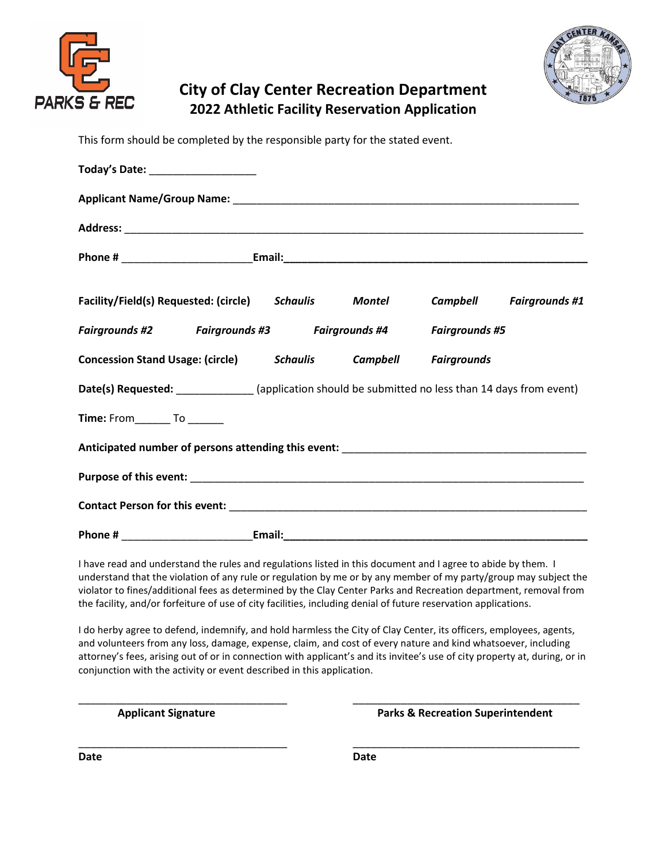



## **City of Clay Center Recreation Department 2022 Athletic Facility Reservation Application**

This form should be completed by the responsible party for the stated event.

| Today's Date: ______________________                                                               |  |  |                                |
|----------------------------------------------------------------------------------------------------|--|--|--------------------------------|
|                                                                                                    |  |  |                                |
|                                                                                                    |  |  |                                |
|                                                                                                    |  |  |                                |
| Facility/Field(s) Requested: (circle) Schaulis Montel                                              |  |  | <b>Campbell</b> Fairgrounds #1 |
| Fairgrounds #2 Fairgrounds #3 Fairgrounds #4 Fairgrounds #5                                        |  |  |                                |
| <b>Concession Stand Usage: (circle) Schaulis Campbell Fairgrounds</b>                              |  |  |                                |
| Date(s) Requested: _____________ (application should be submitted no less than 14 days from event) |  |  |                                |
| Time: From__________ To ________                                                                   |  |  |                                |
|                                                                                                    |  |  |                                |
|                                                                                                    |  |  |                                |
|                                                                                                    |  |  |                                |
|                                                                                                    |  |  |                                |

I have read and understand the rules and regulations listed in this document and I agree to abide by them. I understand that the violation of any rule or regulation by me or by any member of my party/group may subject the violator to fines/additional fees as determined by the Clay Center Parks and Recreation department, removal from the facility, and/or forfeiture of use of city facilities, including denial of future reservation applications.

I do herby agree to defend, indemnify, and hold harmless the City of Clay Center, its officers, employees, agents, and volunteers from any loss, damage, expense, claim, and cost of every nature and kind whatsoever, including attorney's fees, arising out of or in connection with applicant's and its invitee's use of city property at, during, or in conjunction with the activity or event described in this application.

\_\_\_\_\_\_\_\_\_\_\_\_\_\_\_\_\_\_\_\_\_\_\_\_\_\_\_\_\_\_\_\_\_\_\_ \_\_\_\_\_\_\_\_\_\_\_\_\_\_\_\_\_\_\_\_\_\_\_\_\_\_\_\_\_\_\_\_\_\_\_\_\_\_

\_\_\_\_\_\_\_\_\_\_\_\_\_\_\_\_\_\_\_\_\_\_\_\_\_\_\_\_\_\_\_\_\_\_\_ \_\_\_\_\_\_\_\_\_\_\_\_\_\_\_\_\_\_\_\_\_\_\_\_\_\_\_\_\_\_\_\_\_\_\_\_\_\_

**Applicant Signature Parks & Recreation Superintendent**

**Date Date**